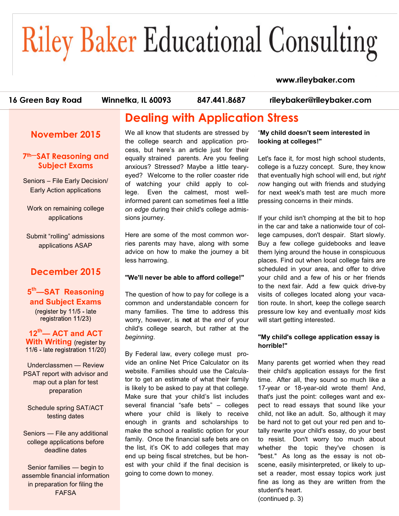# **Riley Baker Educational Consulting**

#### www.rileybaker.com

16 Green Bay Road

Winnetka, IL 60093

847.441.8687

rileybaker@rileybaker.com

# **Dealing with Application Stress**

**November 2015**

### **7th—SAT Reasoning and Subject Exams**

Seniors – File Early Decision/ Early Action applications

Work on remaining college applications

Submit "rolling" admissions applications ASAP

## **December 2015**

## **5 th—SAT Reasoning and Subject Exams**

(register by 11/5 - late registration 11/23)

**12th— ACT and ACT With Writing** (register by<br>11/6 - late registration 11/20)

Underclassmen — Review PSAT report with advisor and map out a plan for test preparation

Schedule spring SAT/ACT testing dates

Seniors — File any additional college applications before deadline dates

Senior families — begin to assemble financial information in preparation for filing the FAFSA

We all know that students are stressed by the college search and application process, but here's an article just for their equally strained parents. Are you feeling anxious? Stressed? Maybe a little tearyeyed? Welcome to the roller coaster ride of watching your child apply to college. Even the calmest, most wellinformed parent can sometimes feel a little *on edge* during their child's college admissions journey.

Here are some of the most common worries parents may have, along with some advice on how to make the journey a bit less harrowing.

#### **"We'll never be able to afford college!"**

The question of how to pay for college is a common and understandable concern for many families. The time to address this worry, however, is **not** at the *end* of your child's college search, but rather at the *beginning*.

By Federal law, every college must provide an online Net Price Calculator on its website. Families should use the Calculator to get an estimate of what their family is likely to be asked to pay at that college. Make sure that your child's list includes several financial "safe bets" – colleges where your child is likely to receive enough in grants and scholarships to make the school a realistic option for your family. Once the financial safe bets are on the list, it's OK to add colleges that may end up being fiscal stretches, but be honest with your child if the final decision is going to come down to money.

"**My child doesn't seem interested in looking at colleges!"**

Let's face it, for most high school students, college is a fuzzy concept. Sure, they know that eventually high school will end, but *right now* hanging out with friends and studying for next week's math test are much more pressing concerns in their minds.

If your child isn't chomping at the bit to hop in the car and take a nationwide tour of college campuses, don't despair. Start slowly. Buy a few college guidebooks and leave them lying around the house in conspicuous places. Find out when local college fairs are scheduled in your area, and offer to drive your child and a few of his or her friends to the next fair. Add a few quick drive-by visits of colleges located along your vacation route. In short, keep the college search pressure low key and eventually *most* kids will start getting interested.

#### **"My child's college application essay is horrible!"**

Many parents get worried when they read their child's application essays for the first time. After all, they sound so much like a 17-year or 18-year-old wrote them! And, that's just the point: colleges want and expect to read essays that sound like your child, not like an adult. So, although it may be hard not to get out your red pen and totally rewrite your child's essay, do your best to resist. Don't worry too much about whether the topic they've chosen is "best." As long as the essay is not obscene, easily misinterpreted, or likely to upset a reader, most essay topics work just fine as long as they are written from the student's heart.

(continued p. 3)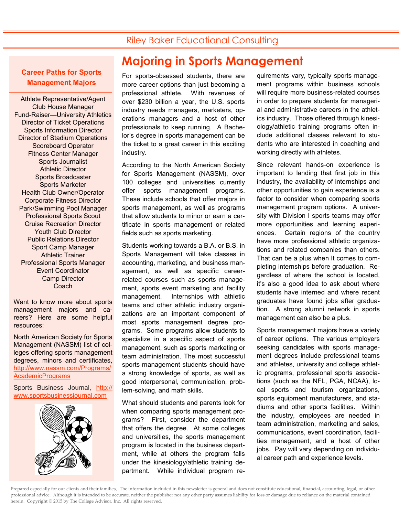#### **Career Paths for Sports Management Majors**

Athlete Representative/Agent Club House Manager Fund-Raiser—University Athletics Director of Ticket Operations Sports Information Director Director of Stadium Operations Scoreboard Operator Fitness Center Manager Sports Journalist Athletic Director Sports Broadcaster Sports Marketer Health Club Owner/Operator Corporate Fitness Director Park/Swimming Pool Manager Professional Sports Scout Cruise Recreation Director Youth Club Director Public Relations Director Sport Camp Manager Athletic Trainer Professional Sports Manager Event Coordinator Camp Director Coach

Want to know more about sports management majors and careers? Here are some helpful resources:

North American Society for Sports Management (NASSM) list of colleges offering sports management degrees, minors and certificates, [http://www.nassm.com/Programs/](http://www.nassm.com/Programs/AcademicPrograms) [AcademicPrograms](http://www.nassm.com/Programs/AcademicPrograms)

Sports Business Journal, [http://](http://www.sportsbusinessjournal.com) [www.sportsbusinessjournal.com](http://www.sportsbusinessjournal.com)



## **Majoring in Sports Management**

For sports-obsessed students, there are more career options than just becoming a professional athlete. With revenues of over \$230 billion a year, the U.S. sports industry needs managers, marketers, operations managers and a host of other professionals to keep running. A Bachelor's degree in sports management can be the ticket to a great career in this exciting industry.

According to the North American Society for Sports Management (NASSM), over 100 colleges and universities currently offer sports management programs. These include schools that offer majors in sports management, as well as programs that allow students to minor or earn a certificate in sports management or related fields such as sports marketing.

Students working towards a B.A. or B.S. in Sports Management will take classes in accounting, marketing, and business management, as well as specific careerrelated courses such as sports management, sports event marketing and facility management. Internships with athletic teams and other athletic industry organizations are an important component of most sports management degree programs. Some programs allow students to specialize in a specific aspect of sports management, such as sports marketing or team administration. The most successful sports management students should have a strong knowledge of sports, as well as good interpersonal, communication, problem-solving, and math skills.

What should students and parents look for when comparing sports management programs? First, consider the department that offers the degree. At some colleges and universities, the sports management program is located in the business department, while at others the program falls under the kinesiology/athletic training department. While individual program requirements vary, typically sports management programs within business schools will require more business-related courses in order to prepare students for managerial and administrative careers in the athletics industry. Those offered through kinesiology/athletic training programs often include additional classes relevant to students who are interested in coaching and working directly with athletes.

Since relevant hands-on experience is important to landing that first job in this industry, the availability of internships and other opportunities to gain experience is a factor to consider when comparing sports management program options. A university with Division I sports teams may offer more opportunities and learning experiences. Certain regions of the country have more professional athletic organizations and related companies than others. That can be a plus when It comes to completing internships before graduation. Regardless of where the school is located, it's also a good idea to ask about where students have interned and where recent graduates have found jobs after graduation. A strong alumni network in sports management can also be a plus.

Sports management majors have a variety of career options. The various employers seeking candidates with sports management degrees include professional teams and athletes, university and college athletic programs, professional sports associations (such as the NFL, PGA, NCAA), local sports and tourism organizations, sports equipment manufacturers, and stadiums and other sports facilities. Within the industry, employees are needed in team administration, marketing and sales, communications, event coordination, facilities management, and a host of other jobs. Pay will vary depending on individual career path and experience levels.

Prepared especially for our clients and their families. The information included in this newsletter is general and does not constitute educational, financial, accounting, legal, or other professional advice. Although it is intended to be accurate, neither the publisher nor any other party assumes liability for loss or damage due to reliance on the material contained herein. Copyright © 2015 by The College Advisor, Inc. All rights reserved.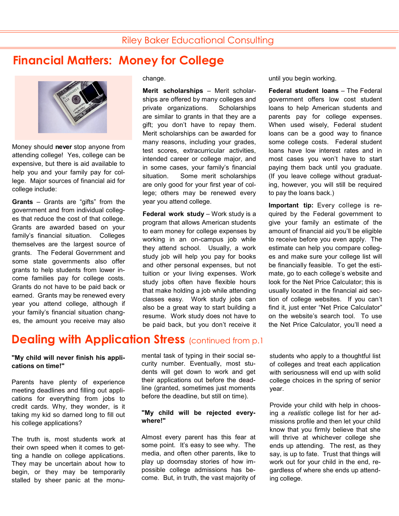# **Financial Matters: Money for College**



Money should **never** stop anyone from attending college! Yes, college can be expensive, but there is aid available to help you and your family pay for college. Major sources of financial aid for college include:

**Grants** – Grants are "gifts" from the government and from individual colleges that reduce the cost of that college. Grants are awarded based on your family's financial situation. Colleges themselves are the largest source of grants. The Federal Government and some state governments also offer grants to help students from lower income families pay for college costs. Grants do not have to be paid back or earned. Grants may be renewed every year you attend college, although if your family's financial situation changes, the amount you receive may also

change.

**Merit scholarships** – Merit scholarships are offered by many colleges and private organizations. Scholarships are similar to grants in that they are a gift; you don't have to repay them. Merit scholarships can be awarded for many reasons, including your grades, test scores, extracurricular activities, intended career or college major, and in some cases, your family's financial situation. Some merit scholarships are only good for your first year of college; others may be renewed every year you attend college.

**Federal work study** – Work study is a program that allows American students to earn money for college expenses by working in an on-campus job while they attend school. Usually, a work study job will help you pay for books and other personal expenses, but not tuition or your living expenses. Work study jobs often have flexible hours that make holding a job while attending classes easy. Work study jobs can also be a great way to start building a resume. Work study does not have to be paid back, but you don't receive it until you begin working.

**Federal student loans** – The Federal government offers low cost student loans to help American students and parents pay for college expenses. When used wisely, Federal student loans can be a good way to finance some college costs. Federal student loans have low interest rates and in most cases you won't have to start paying them back until you graduate. (If you leave college without graduating, however, you will still be required to pay the loans back.)

**Important tip:** Every college is required by the Federal government to give your family an estimate of the amount of financial aid you'll be eligible to receive before you even apply. The estimate can help you compare colleges and make sure your college list will be financially feasible. To get the estimate, go to each college's website and look for the Net Price Calculator; this is usually located in the financial aid section of college websites. If you can't find it, just enter "Net Price Calculator" on the website's search tool. To use the Net Price Calculator, you'll need a

## **Dealing with Application Stress (continued from p.1)**

#### **"My child will never finish his applications on time!"**

Parents have plenty of experience meeting deadlines and filling out applications for everything from jobs to credit cards. Why, they wonder, is it taking my kid so darned long to fill out his college applications?

The truth is, most students work at their own speed when it comes to getting a handle on college applications. They may be uncertain about how to begin, or they may be temporarily stalled by sheer panic at the monu-

mental task of typing in their social security number. Eventually, most students will get down to work and get their applications out before the deadline (granted, sometimes just moments before the deadline, but still on time).

#### **"My child will be rejected everywhere!"**

Almost every parent has this fear at some point. It's easy to see why. The media, and often other parents, like to play up doomsday stories of how impossible college admissions has become. But, in truth, the vast majority of students who apply to a thoughtful list of colleges and treat each application with seriousness will end up with solid college choices in the spring of senior year.

Provide your child with help in choosing a *realistic* college list for her admissions profile and then let your child know that you firmly believe that she will thrive at whichever college she ends up attending. The rest, as they say, is up to fate. Trust that things will work out for your child in the end, regardless of where she ends up attending college.